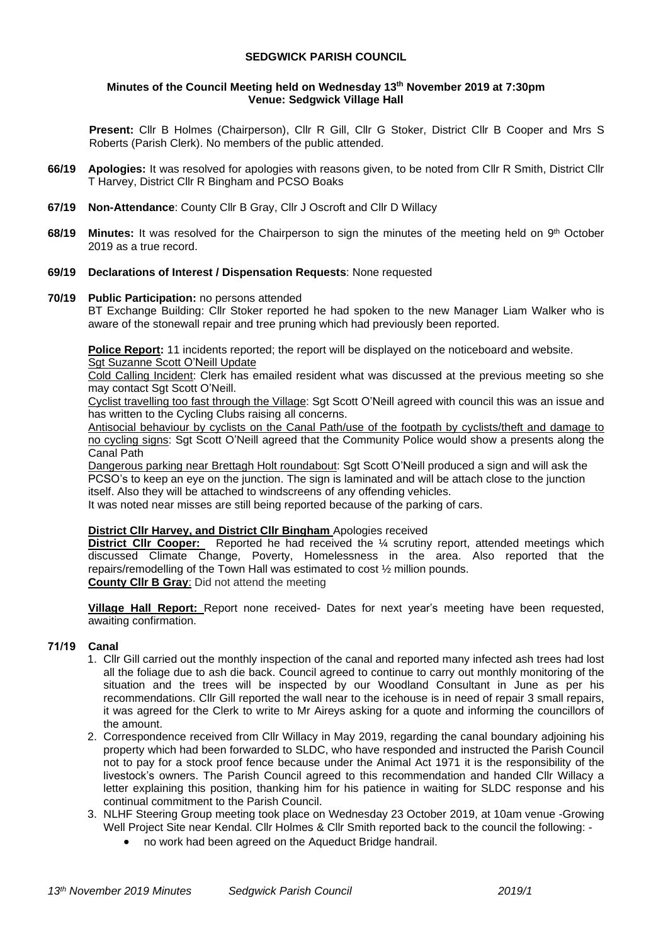### **SEDGWICK PARISH COUNCIL**

#### **Minutes of the Council Meeting held on Wednesday 13th November 2019 at 7:30pm Venue: Sedgwick Village Hall**

**Present:** Cllr B Holmes (Chairperson), Cllr R Gill, Cllr G Stoker, District Cllr B Cooper and Mrs S Roberts (Parish Clerk). No members of the public attended.

- **66/19 Apologies:** It was resolved for apologies with reasons given, to be noted from Cllr R Smith, District Cllr T Harvey, District Cllr R Bingham and PCSO Boaks
- **67/19 Non-Attendance**: County Cllr B Gray, Cllr J Oscroft and Cllr D Willacy
- **68/19 Minutes:** It was resolved for the Chairperson to sign the minutes of the meeting held on 9<sup>th</sup> October 2019 as a true record.

#### **69/19 Declarations of Interest / Dispensation Requests**: None requested

#### **70/19 Public Participation:** no persons attended

BT Exchange Building: Cllr Stoker reported he had spoken to the new Manager Liam Walker who is aware of the stonewall repair and tree pruning which had previously been reported.

**Police Report:** 11 incidents reported; the report will be displayed on the noticeboard and website. Sgt Suzanne Scott O'Neill Update

Cold Calling Incident: Clerk has emailed resident what was discussed at the previous meeting so she may contact Sgt Scott O'Neill.

Cyclist travelling too fast through the Village: Sgt Scott O'Neill agreed with council this was an issue and has written to the Cycling Clubs raising all concerns.

Antisocial behaviour by cyclists on the Canal Path/use of the footpath by cyclists/theft and damage to no cycling signs: Sgt Scott O'Neill agreed that the Community Police would show a presents along the Canal Path

Dangerous parking near Brettagh Holt roundabout: Sgt Scott O'Neill produced a sign and will ask the PCSO's to keep an eye on the junction. The sign is laminated and will be attach close to the junction itself. Also they will be attached to windscreens of any offending vehicles.

It was noted near misses are still being reported because of the parking of cars.

#### **District Cllr Harvey, and District Cllr Bingham** Apologies received

**District Cllr Cooper:** Reported he had received the <sup>1/4</sup> scrutiny report, attended meetings which discussed Climate Change, Poverty, Homelessness in the area. Also reported that the repairs/remodelling of the Town Hall was estimated to cost ½ million pounds. **County Cllr B Gray**: Did not attend the meeting

**Village Hall Report:** Report none received- Dates for next year's meeting have been requested, awaiting confirmation.

#### **71/19 Canal**

- 1. Cllr Gill carried out the monthly inspection of the canal and reported many infected ash trees had lost all the foliage due to ash die back. Council agreed to continue to carry out monthly monitoring of the situation and the trees will be inspected by our Woodland Consultant in June as per his recommendations. Cllr Gill reported the wall near to the icehouse is in need of repair 3 small repairs, it was agreed for the Clerk to write to Mr Aireys asking for a quote and informing the councillors of the amount.
- 2. Correspondence received from Cllr Willacy in May 2019, regarding the canal boundary adjoining his property which had been forwarded to SLDC, who have responded and instructed the Parish Council not to pay for a stock proof fence because under the Animal Act 1971 it is the responsibility of the livestock's owners. The Parish Council agreed to this recommendation and handed Cllr Willacy a letter explaining this position, thanking him for his patience in waiting for SLDC response and his continual commitment to the Parish Council.
- 3. NLHF Steering Group meeting took place on Wednesday 23 October 2019, at 10am venue -Growing Well Project Site near Kendal. Cllr Holmes & Cllr Smith reported back to the council the following: -
	- no work had been agreed on the Aqueduct Bridge handrail.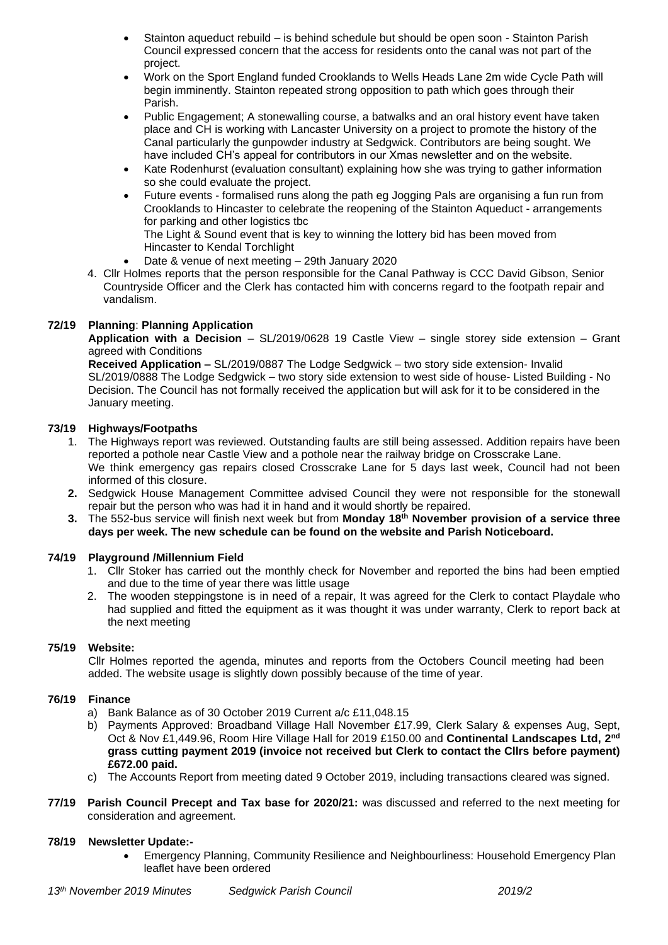- Stainton aqueduct rebuild is behind schedule but should be open soon Stainton Parish Council expressed concern that the access for residents onto the canal was not part of the project.
- Work on the Sport England funded Crooklands to Wells Heads Lane 2m wide Cycle Path will begin imminently. Stainton repeated strong opposition to path which goes through their Parish.
- Public Engagement; A stonewalling course, a batwalks and an oral history event have taken place and CH is working with Lancaster University on a project to promote the history of the Canal particularly the gunpowder industry at Sedgwick. Contributors are being sought. We have included CH's appeal for contributors in our Xmas newsletter and on the website.
- Kate Rodenhurst (evaluation consultant) explaining how she was trying to gather information so she could evaluate the project.
- Future events formalised runs along the path eg Jogging Pals are organising a fun run from Crooklands to Hincaster to celebrate the reopening of the Stainton Aqueduct - arrangements for parking and other logistics tbc
	- The Light & Sound event that is key to winning the lottery bid has been moved from Hincaster to Kendal Torchlight
	- Date & venue of next meeting 29th January 2020
- 4. Cllr Holmes reports that the person responsible for the Canal Pathway is CCC David Gibson, Senior Countryside Officer and the Clerk has contacted him with concerns regard to the footpath repair and vandalism.

# **72/19 Planning**: **Planning Application**

**Application with a Decision** – SL/2019/0628 19 Castle View – single storey side extension – Grant agreed with Conditions

**Received Application –** SL/2019/0887 The Lodge Sedgwick – two story side extension- Invalid SL/2019/0888 The Lodge Sedgwick – two story side extension to west side of house- Listed Building - No Decision. The Council has not formally received the application but will ask for it to be considered in the January meeting.

# **73/19 Highways/Footpaths**

- 1. The Highways report was reviewed. Outstanding faults are still being assessed. Addition repairs have been reported a pothole near Castle View and a pothole near the railway bridge on Crosscrake Lane. We think emergency gas repairs closed Crosscrake Lane for 5 days last week, Council had not been informed of this closure.
- **2.** Sedgwick House Management Committee advised Council they were not responsible for the stonewall repair but the person who was had it in hand and it would shortly be repaired.
- **3.** The 552-bus service will finish next week but from **Monday 18th November provision of a service three days per week. The new schedule can be found on the website and Parish Noticeboard.**

# **74/19 Playground /Millennium Field**

- 1. Cllr Stoker has carried out the monthly check for November and reported the bins had been emptied and due to the time of year there was little usage
- 2. The wooden steppingstone is in need of a repair, It was agreed for the Clerk to contact Playdale who had supplied and fitted the equipment as it was thought it was under warranty, Clerk to report back at the next meeting

# **75/19 Website:**

Cllr Holmes reported the agenda, minutes and reports from the Octobers Council meeting had been added. The website usage is slightly down possibly because of the time of year.

# **76/19 Finance**

- a) Bank Balance as of 30 October 2019 Current a/c £11,048.15
- b) Payments Approved: Broadband Village Hall November £17.99, Clerk Salary & expenses Aug, Sept, Oct & Nov £1,449.96, Room Hire Village Hall for 2019 £150.00 and **Continental Landscapes Ltd, 2nd grass cutting payment 2019 (invoice not received but Clerk to contact the Cllrs before payment) £672.00 paid.**
- c) The Accounts Report from meeting dated 9 October 2019, including transactions cleared was signed.
- **77/19 Parish Council Precept and Tax base for 2020/21:** was discussed and referred to the next meeting for consideration and agreement.

# **78/19 Newsletter Update:-**

• Emergency Planning, Community Resilience and Neighbourliness: Household Emergency Plan leaflet have been ordered